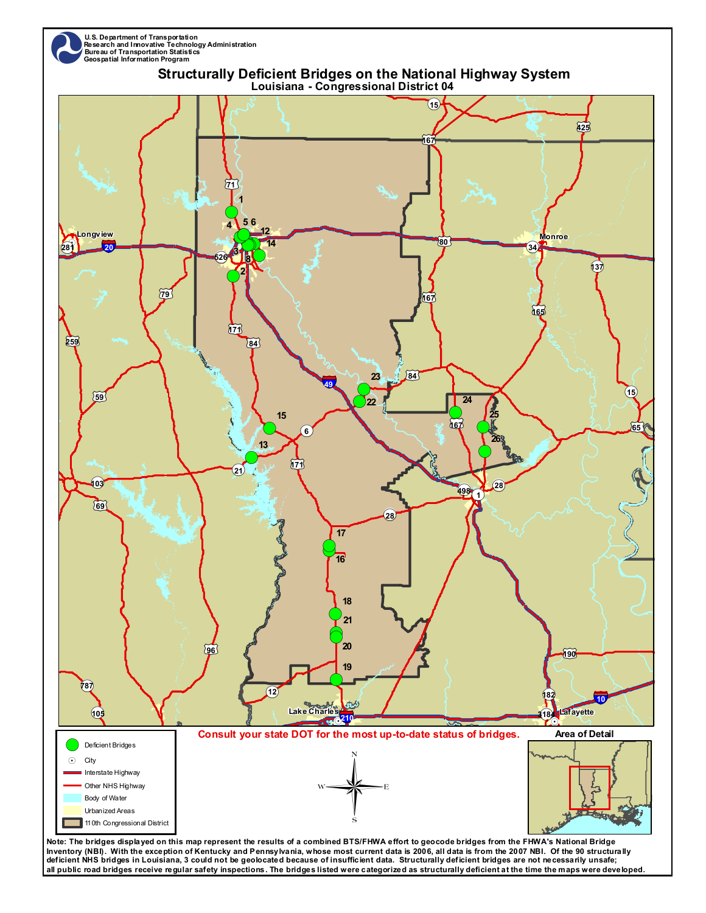